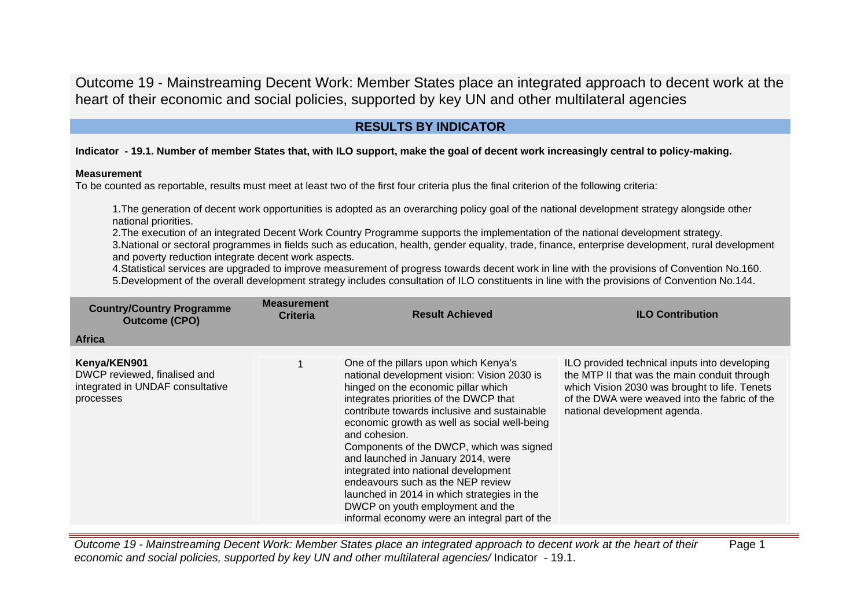# **RESULTS BY INDICATOR**

## **Indicator - 19.1. Number of member States that, with ILO support, make the goal of decent work increasingly central to policy-making.**

### **Measurement**

To be counted as reportable, results must meet at least two of the first four criteria plus the final criterion of the following criteria:

1.The generation of decent work opportunities is adopted as an overarching policy goal of the national development strategy alongside other national priorities.

2.The execution of an integrated Decent Work Country Programme supports the implementation of the national development strategy.

3.National or sectoral programmes in fields such as education, health, gender equality, trade, finance, enterprise development, rural development and poverty reduction integrate decent work aspects.

4.Statistical services are upgraded to improve measurement of progress towards decent work in line with the provisions of Convention No.160. 5.Development of the overall development strategy includes consultation of ILO constituents in line with the provisions of Convention No.144.

| <b>Country/Country Programme</b><br><b>Outcome (CPO)</b>                                      | <b>Measurement</b><br>Criteria | <b>Result Achieved</b>                                                                                                                                                                                                                                                                                                                                                                                                                                                                                                                                                                    | <b>ILO Contribution</b>                                                                                                                                                                                                         |
|-----------------------------------------------------------------------------------------------|--------------------------------|-------------------------------------------------------------------------------------------------------------------------------------------------------------------------------------------------------------------------------------------------------------------------------------------------------------------------------------------------------------------------------------------------------------------------------------------------------------------------------------------------------------------------------------------------------------------------------------------|---------------------------------------------------------------------------------------------------------------------------------------------------------------------------------------------------------------------------------|
| <b>Africa</b>                                                                                 |                                |                                                                                                                                                                                                                                                                                                                                                                                                                                                                                                                                                                                           |                                                                                                                                                                                                                                 |
| Kenya/KEN901<br>DWCP reviewed, finalised and<br>integrated in UNDAF consultative<br>processes |                                | One of the pillars upon which Kenya's<br>national development vision: Vision 2030 is<br>hinged on the economic pillar which<br>integrates priorities of the DWCP that<br>contribute towards inclusive and sustainable<br>economic growth as well as social well-being<br>and cohesion.<br>Components of the DWCP, which was signed<br>and launched in January 2014, were<br>integrated into national development<br>endeavours such as the NEP review<br>launched in 2014 in which strategies in the<br>DWCP on youth employment and the<br>informal economy were an integral part of the | ILO provided technical inputs into developing<br>the MTP II that was the main conduit through<br>which Vision 2030 was brought to life. Tenets<br>of the DWA were weaved into the fabric of the<br>national development agenda. |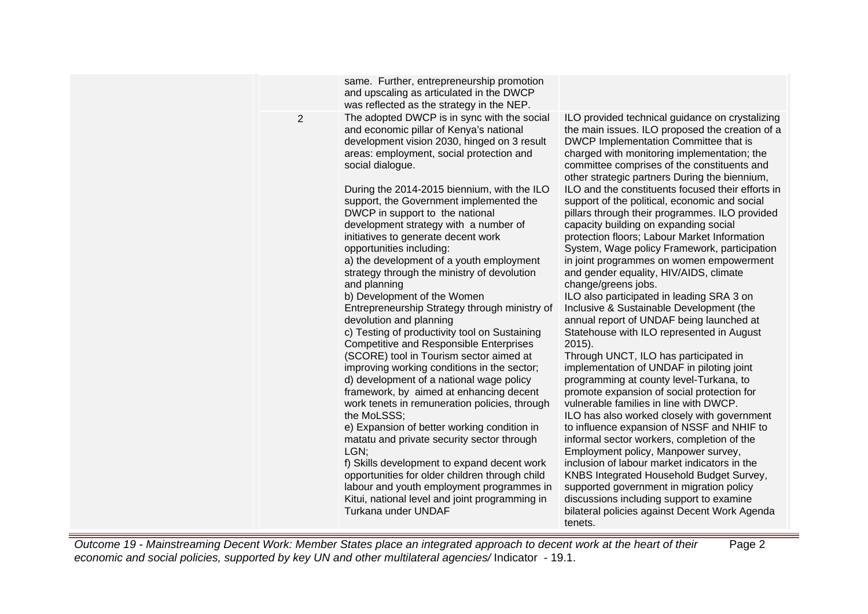|                | same. Further, entrepreneurship promotion<br>and upscaling as articulated in the DWCP<br>was reflected as the strategy in the NEP.                                                                                                                                                                                                                                                                                                                                                                                                                                                                                                                                                                                                                                                                                                                                                                                                                                                                                                                                                                                                                                                                                                                                                                                                                   |                                                                                                                                                                                                                                                                                                                                                                                                                                                                                                                                                                                                                                                                                                                                                                                                                                                                                                                                                                                                                                                                                                                                                                                                                                                                                                                                                                                                                                                                                                                                                                    |
|----------------|------------------------------------------------------------------------------------------------------------------------------------------------------------------------------------------------------------------------------------------------------------------------------------------------------------------------------------------------------------------------------------------------------------------------------------------------------------------------------------------------------------------------------------------------------------------------------------------------------------------------------------------------------------------------------------------------------------------------------------------------------------------------------------------------------------------------------------------------------------------------------------------------------------------------------------------------------------------------------------------------------------------------------------------------------------------------------------------------------------------------------------------------------------------------------------------------------------------------------------------------------------------------------------------------------------------------------------------------------|--------------------------------------------------------------------------------------------------------------------------------------------------------------------------------------------------------------------------------------------------------------------------------------------------------------------------------------------------------------------------------------------------------------------------------------------------------------------------------------------------------------------------------------------------------------------------------------------------------------------------------------------------------------------------------------------------------------------------------------------------------------------------------------------------------------------------------------------------------------------------------------------------------------------------------------------------------------------------------------------------------------------------------------------------------------------------------------------------------------------------------------------------------------------------------------------------------------------------------------------------------------------------------------------------------------------------------------------------------------------------------------------------------------------------------------------------------------------------------------------------------------------------------------------------------------------|
| $\overline{2}$ | The adopted DWCP is in sync with the social<br>and economic pillar of Kenya's national<br>development vision 2030, hinged on 3 result<br>areas: employment, social protection and<br>social dialogue.<br>During the 2014-2015 biennium, with the ILO<br>support, the Government implemented the<br>DWCP in support to the national<br>development strategy with a number of<br>initiatives to generate decent work<br>opportunities including:<br>a) the development of a youth employment<br>strategy through the ministry of devolution<br>and planning<br>b) Development of the Women<br>Entrepreneurship Strategy through ministry of<br>devolution and planning<br>c) Testing of productivity tool on Sustaining<br><b>Competitive and Responsible Enterprises</b><br>(SCORE) tool in Tourism sector aimed at<br>improving working conditions in the sector;<br>d) development of a national wage policy<br>framework, by aimed at enhancing decent<br>work tenets in remuneration policies, through<br>the MoLSSS;<br>e) Expansion of better working condition in<br>matatu and private security sector through<br>LGN;<br>f) Skills development to expand decent work<br>opportunities for older children through child<br>labour and youth employment programmes in<br>Kitui, national level and joint programming in<br>Turkana under UNDAF | ILO provided technical guidance on crystalizing<br>the main issues. ILO proposed the creation of a<br>DWCP Implementation Committee that is<br>charged with monitoring implementation; the<br>committee comprises of the constituents and<br>other strategic partners During the biennium,<br>ILO and the constituents focused their efforts in<br>support of the political, economic and social<br>pillars through their programmes. ILO provided<br>capacity building on expanding social<br>protection floors; Labour Market Information<br>System, Wage policy Framework, participation<br>in joint programmes on women empowerment<br>and gender equality, HIV/AIDS, climate<br>change/greens jobs.<br>ILO also participated in leading SRA 3 on<br>Inclusive & Sustainable Development (the<br>annual report of UNDAF being launched at<br>Statehouse with ILO represented in August<br>$2015$ ).<br>Through UNCT, ILO has participated in<br>implementation of UNDAF in piloting joint<br>programming at county level-Turkana, to<br>promote expansion of social protection for<br>vulnerable families in line with DWCP.<br>ILO has also worked closely with government<br>to influence expansion of NSSF and NHIF to<br>informal sector workers, completion of the<br>Employment policy, Manpower survey,<br>inclusion of labour market indicators in the<br>KNBS Integrated Household Budget Survey,<br>supported government in migration policy<br>discussions including support to examine<br>bilateral policies against Decent Work Agenda<br>tenets. |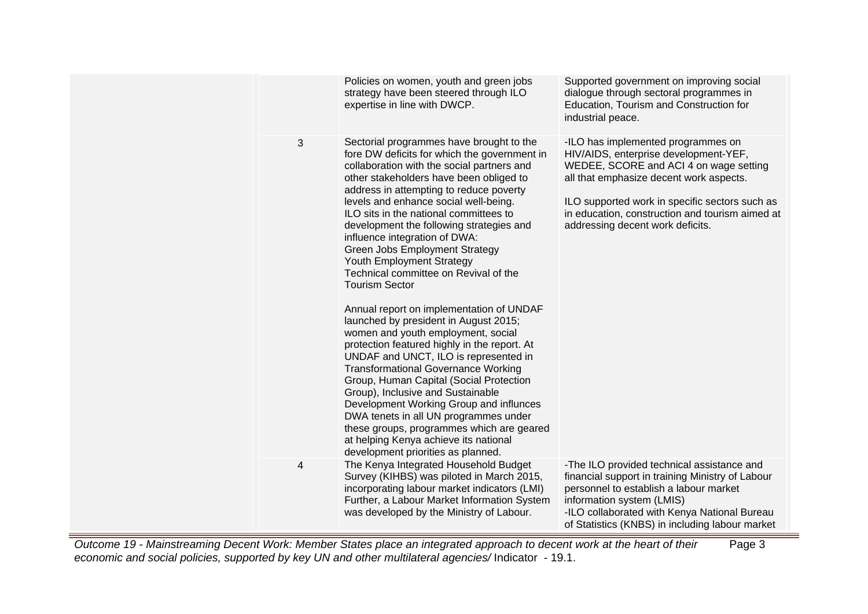|   | Policies on women, youth and green jobs<br>strategy have been steered through ILO<br>expertise in line with DWCP.                                                                                                                                                                                                                                                                                                                                                                                                                                                                                                                                                                                                                                                                                                                                                                                                                                                                                                                                                                               | Supported government on improving social<br>dialogue through sectoral programmes in<br>Education, Tourism and Construction for<br>industrial peace.                                                                                                                                                       |
|---|-------------------------------------------------------------------------------------------------------------------------------------------------------------------------------------------------------------------------------------------------------------------------------------------------------------------------------------------------------------------------------------------------------------------------------------------------------------------------------------------------------------------------------------------------------------------------------------------------------------------------------------------------------------------------------------------------------------------------------------------------------------------------------------------------------------------------------------------------------------------------------------------------------------------------------------------------------------------------------------------------------------------------------------------------------------------------------------------------|-----------------------------------------------------------------------------------------------------------------------------------------------------------------------------------------------------------------------------------------------------------------------------------------------------------|
| 3 | Sectorial programmes have brought to the<br>fore DW deficits for which the government in<br>collaboration with the social partners and<br>other stakeholders have been obliged to<br>address in attempting to reduce poverty<br>levels and enhance social well-being.<br>ILO sits in the national committees to<br>development the following strategies and<br>influence integration of DWA:<br>Green Jobs Employment Strategy<br>Youth Employment Strategy<br>Technical committee on Revival of the<br><b>Tourism Sector</b><br>Annual report on implementation of UNDAF<br>launched by president in August 2015;<br>women and youth employment, social<br>protection featured highly in the report. At<br>UNDAF and UNCT, ILO is represented in<br><b>Transformational Governance Working</b><br>Group, Human Capital (Social Protection<br>Group), Inclusive and Sustainable<br>Development Working Group and influnces<br>DWA tenets in all UN programmes under<br>these groups, programmes which are geared<br>at helping Kenya achieve its national<br>development priorities as planned. | -ILO has implemented programmes on<br>HIV/AIDS, enterprise development-YEF,<br>WEDEE, SCORE and ACI 4 on wage setting<br>all that emphasize decent work aspects.<br>ILO supported work in specific sectors such as<br>in education, construction and tourism aimed at<br>addressing decent work deficits. |
| 4 | The Kenya Integrated Household Budget<br>Survey (KIHBS) was piloted in March 2015,<br>incorporating labour market indicators (LMI)<br>Further, a Labour Market Information System<br>was developed by the Ministry of Labour.                                                                                                                                                                                                                                                                                                                                                                                                                                                                                                                                                                                                                                                                                                                                                                                                                                                                   | -The ILO provided technical assistance and<br>financial support in training Ministry of Labour<br>personnel to establish a labour market<br>information system (LMIS)<br>-ILO collaborated with Kenya National Bureau<br>of Statistics (KNBS) in including labour market                                  |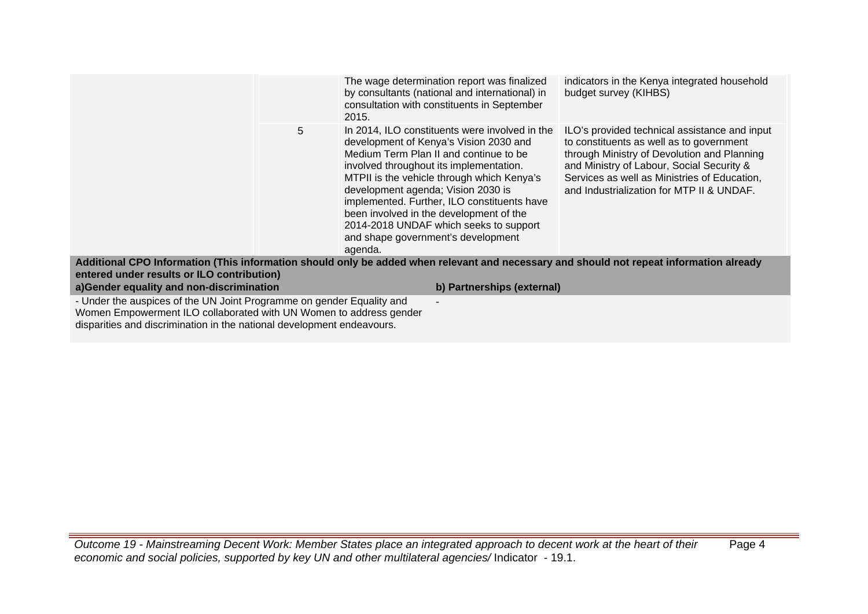|                                                                                                                                                                                                                       |   | The wage determination report was finalized<br>by consultants (national and international) in<br>consultation with constituents in September<br>2015.                                                                                                                                                                                                                                                                                                  | indicators in the Kenya integrated household<br>budget survey (KIHBS)                                                                                                                                                                                                              |
|-----------------------------------------------------------------------------------------------------------------------------------------------------------------------------------------------------------------------|---|--------------------------------------------------------------------------------------------------------------------------------------------------------------------------------------------------------------------------------------------------------------------------------------------------------------------------------------------------------------------------------------------------------------------------------------------------------|------------------------------------------------------------------------------------------------------------------------------------------------------------------------------------------------------------------------------------------------------------------------------------|
|                                                                                                                                                                                                                       | 5 | In 2014, ILO constituents were involved in the<br>development of Kenya's Vision 2030 and<br>Medium Term Plan II and continue to be<br>involved throughout its implementation.<br>MTPII is the vehicle through which Kenya's<br>development agenda; Vision 2030 is<br>implemented. Further, ILO constituents have<br>been involved in the development of the<br>2014-2018 UNDAF which seeks to support<br>and shape government's development<br>agenda. | ILO's provided technical assistance and input<br>to constituents as well as to government<br>through Ministry of Devolution and Planning<br>and Ministry of Labour, Social Security &<br>Services as well as Ministries of Education,<br>and Industrialization for MTP II & UNDAF. |
|                                                                                                                                                                                                                       |   | Additional CPO Information (This information should only be added when relevant and necessary and should not repeat information already                                                                                                                                                                                                                                                                                                                |                                                                                                                                                                                                                                                                                    |
| entered under results or ILO contribution)                                                                                                                                                                            |   |                                                                                                                                                                                                                                                                                                                                                                                                                                                        |                                                                                                                                                                                                                                                                                    |
| a)Gender equality and non-discrimination                                                                                                                                                                              |   | b) Partnerships (external)                                                                                                                                                                                                                                                                                                                                                                                                                             |                                                                                                                                                                                                                                                                                    |
| - Under the auspices of the UN Joint Programme on gender Equality and<br>Women Empowerment ILO collaborated with UN Women to address gender<br>disparities and discrimination in the national development endeavours. |   |                                                                                                                                                                                                                                                                                                                                                                                                                                                        |                                                                                                                                                                                                                                                                                    |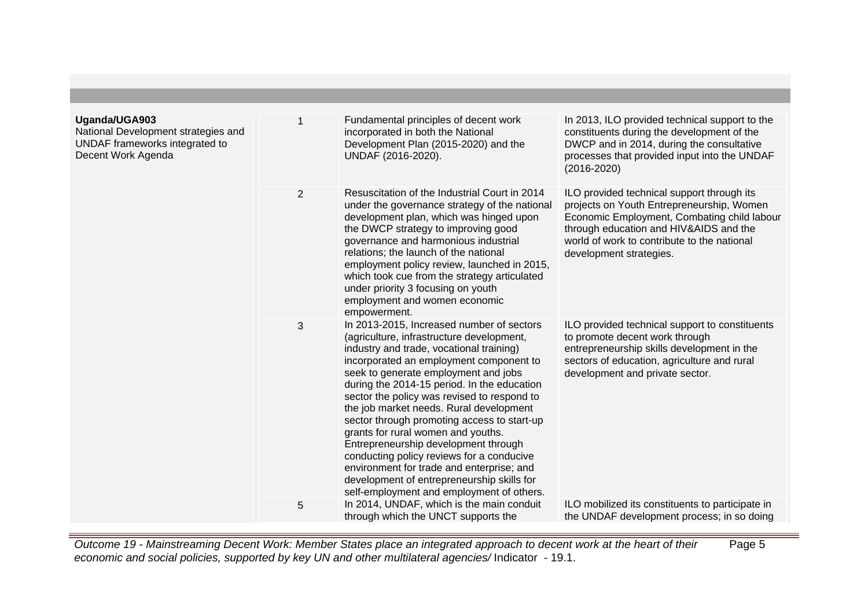| Uganda/UGA903<br>National Development strategies and<br>UNDAF frameworks integrated to<br>Decent Work Agenda | 1              | Fundamental principles of decent work<br>incorporated in both the National<br>Development Plan (2015-2020) and the<br>UNDAF (2016-2020).                                                                                                                                                                                                                                                                                                                                                                                                                                                                                                                                         | In 2013, ILO provided technical support to the<br>constituents during the development of the<br>DWCP and in 2014, during the consultative<br>processes that provided input into the UNDAF<br>$(2016 - 2020)$                                               |
|--------------------------------------------------------------------------------------------------------------|----------------|----------------------------------------------------------------------------------------------------------------------------------------------------------------------------------------------------------------------------------------------------------------------------------------------------------------------------------------------------------------------------------------------------------------------------------------------------------------------------------------------------------------------------------------------------------------------------------------------------------------------------------------------------------------------------------|------------------------------------------------------------------------------------------------------------------------------------------------------------------------------------------------------------------------------------------------------------|
|                                                                                                              | $\overline{2}$ | Resuscitation of the Industrial Court in 2014<br>under the governance strategy of the national<br>development plan, which was hinged upon<br>the DWCP strategy to improving good<br>governance and harmonious industrial<br>relations; the launch of the national<br>employment policy review, launched in 2015,<br>which took cue from the strategy articulated<br>under priority 3 focusing on youth<br>employment and women economic<br>empowerment.                                                                                                                                                                                                                          | ILO provided technical support through its<br>projects on Youth Entrepreneurship, Women<br>Economic Employment, Combating child labour<br>through education and HIV&AIDS and the<br>world of work to contribute to the national<br>development strategies. |
|                                                                                                              | 3              | In 2013-2015, Increased number of sectors<br>(agriculture, infrastructure development,<br>industry and trade, vocational training)<br>incorporated an employment component to<br>seek to generate employment and jobs<br>during the 2014-15 period. In the education<br>sector the policy was revised to respond to<br>the job market needs. Rural development<br>sector through promoting access to start-up<br>grants for rural women and youths.<br>Entrepreneurship development through<br>conducting policy reviews for a conducive<br>environment for trade and enterprise; and<br>development of entrepreneurship skills for<br>self-employment and employment of others. | ILO provided technical support to constituents<br>to promote decent work through<br>entrepreneurship skills development in the<br>sectors of education, agriculture and rural<br>development and private sector.                                           |
|                                                                                                              | 5              | In 2014, UNDAF, which is the main conduit<br>through which the UNCT supports the                                                                                                                                                                                                                                                                                                                                                                                                                                                                                                                                                                                                 | ILO mobilized its constituents to participate in<br>the UNDAF development process; in so doing                                                                                                                                                             |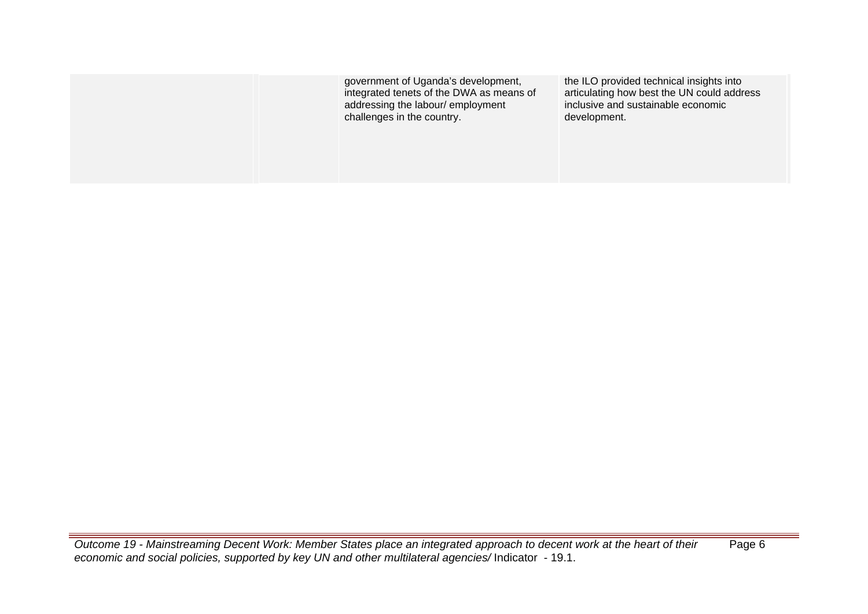| government of Uganda's development,<br>integrated tenets of the DWA as means of<br>addressing the labour/employment<br>challenges in the country. | the ILO provided technical insights into<br>articulating how best the UN could address<br>inclusive and sustainable economic<br>development. |
|---------------------------------------------------------------------------------------------------------------------------------------------------|----------------------------------------------------------------------------------------------------------------------------------------------|
|                                                                                                                                                   |                                                                                                                                              |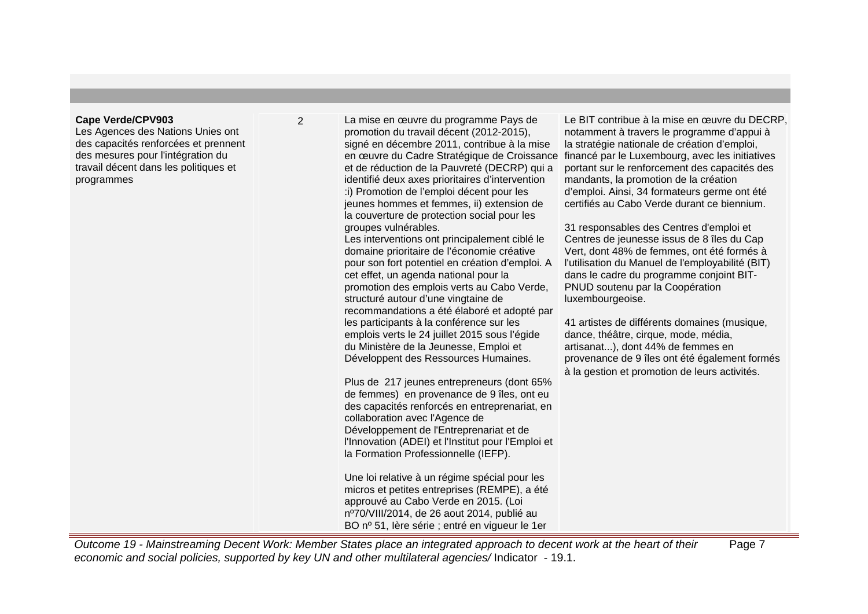#### **Cape Verde/CPV903**

Les Agences des Nations Unies ont des capacités renforcées et prennent des mesures pour l'intégration du travail décent dans les politiques et programmes

2 La mise en œuvre du programme Pays de promotion du travail décent (2012-2015), signé en décembre 2011, contribue à la mise en œuvre du Cadre Stratégique de Croissance financé par le Luxembourg, avec les initiatives et de réduction de la Pauvreté (DECRP) qui a identifié deux axes prioritaires d'intervention :i) Promotion de l'emploi décent pour les jeunes hommes et femmes, ii) extension de la couverture de protection social pour les groupes vulnérables. Les interventions ont principalement ciblé le domaine prioritaire de l'économie créative pour son fort potentiel en création d'emploi. A cet effet, un agenda national pour la promotion des emplois verts au Cabo Verde, structuré autour d'une vingtaine de recommandations a été élaboré et adopté par les participants à la conférence sur les emplois verts le 24 juillet 2015 sous l'égide du Ministère de la Jeunesse, Emploi et Développent des Ressources Humaines.

Plus de 217 jeunes entrepreneurs (dont 65% de femmes) en provenance de 9 îles, ont eu des capacités renforcés en entreprenariat, en collaboration avec l'Agence de Développement de l'Entreprenariat et de l'Innovation (ADEI) et l'Institut pour l'Emploi et la Formation Professionnelle (IEFP).

Une loi relative à un régime spécial pour les micros et petites entreprises (REMPE), a été approuvé au Cabo Verde en 2015. (Loi nº70/VIII/2014, de 26 aout 2014, publié au BO nº 51, Ière série ; entré en vigueur le 1er

Le BIT contribue à la mise en œuvre du DECRP, notamment à travers le programme d'appui à la stratégie nationale de création d'emploi, portant sur le renforcement des capacités des mandants, la promotion de la création d'emploi. Ainsi, 34 formateurs germe ont été certifiés au Cabo Verde durant ce biennium.

31 responsables des Centres d'emploi et Centres de jeunesse issus de 8 îles du Cap Vert, dont 48% de femmes, ont été formés à l'utilisation du Manuel de l'employabilité (BIT) dans le cadre du programme conjoint BIT-PNUD soutenu par la Coopération luxembourgeoise.

41 artistes de différents domaines (musique, dance, théâtre, cirque, mode, média, artisanat...), dont 44% de femmes en provenance de 9 îles ont été également formés à la gestion et promotion de leurs activités.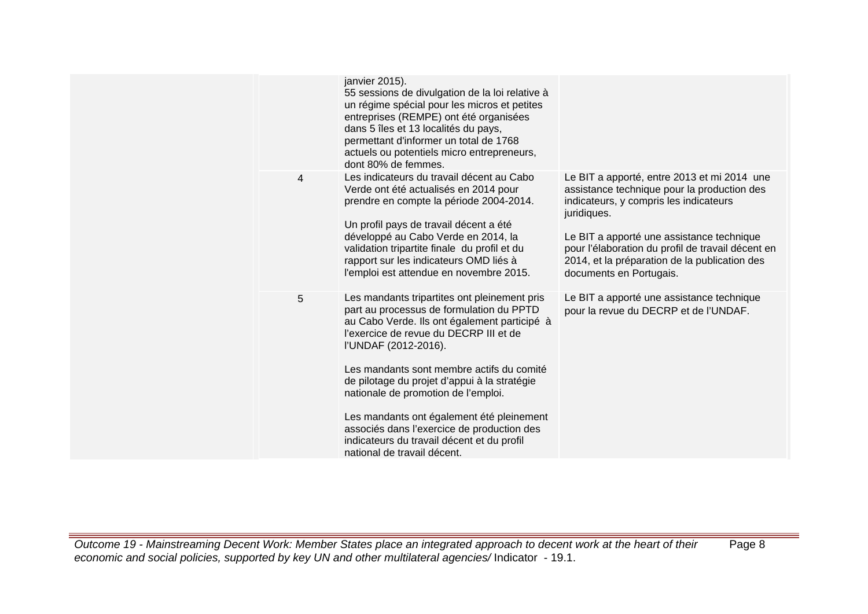|                | janvier 2015).<br>55 sessions de divulgation de la loi relative à<br>un régime spécial pour les micros et petites<br>entreprises (REMPE) ont été organisées<br>dans 5 îles et 13 localités du pays,<br>permettant d'informer un total de 1768<br>actuels ou potentiels micro entrepreneurs,<br>dont 80% de femmes.                                                                                                                                                                                                     |                                                                                                                                                                                                                                                                                                                                   |
|----------------|------------------------------------------------------------------------------------------------------------------------------------------------------------------------------------------------------------------------------------------------------------------------------------------------------------------------------------------------------------------------------------------------------------------------------------------------------------------------------------------------------------------------|-----------------------------------------------------------------------------------------------------------------------------------------------------------------------------------------------------------------------------------------------------------------------------------------------------------------------------------|
| $\overline{4}$ | Les indicateurs du travail décent au Cabo<br>Verde ont été actualisés en 2014 pour<br>prendre en compte la période 2004-2014.<br>Un profil pays de travail décent a été<br>développé au Cabo Verde en 2014, la<br>validation tripartite finale du profil et du<br>rapport sur les indicateurs OMD liés à<br>l'emploi est attendue en novembre 2015.                                                                                                                                                                    | Le BIT a apporté, entre 2013 et mi 2014 une<br>assistance technique pour la production des<br>indicateurs, y compris les indicateurs<br>juridiques.<br>Le BIT a apporté une assistance technique<br>pour l'élaboration du profil de travail décent en<br>2014, et la préparation de la publication des<br>documents en Portugais. |
| 5              | Les mandants tripartites ont pleinement pris<br>part au processus de formulation du PPTD<br>au Cabo Verde. Ils ont également participé à<br>l'exercice de revue du DECRP III et de<br>l'UNDAF (2012-2016).<br>Les mandants sont membre actifs du comité<br>de pilotage du projet d'appui à la stratégie<br>nationale de promotion de l'emploi.<br>Les mandants ont également été pleinement<br>associés dans l'exercice de production des<br>indicateurs du travail décent et du profil<br>national de travail décent. | Le BIT a apporté une assistance technique<br>pour la revue du DECRP et de l'UNDAF.                                                                                                                                                                                                                                                |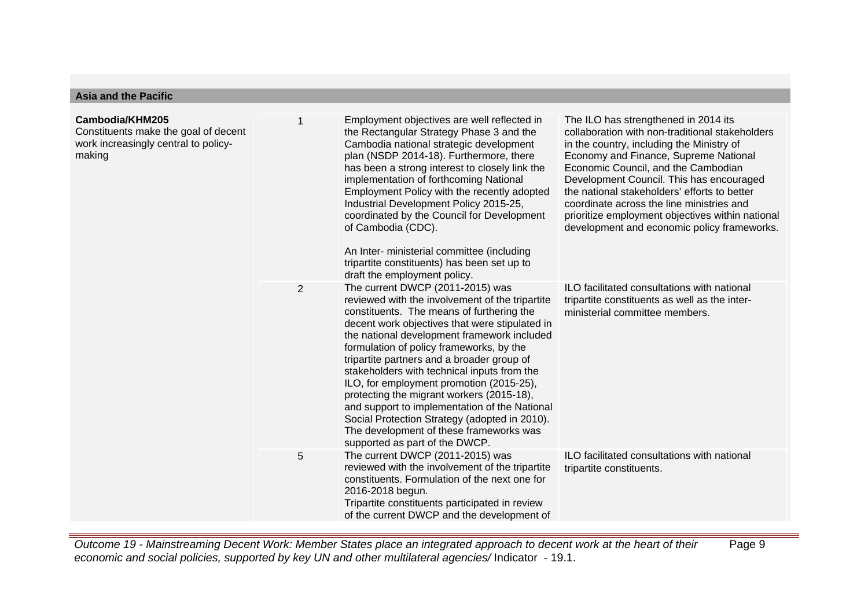# **Asia and the Pacific**

| Cambodia/KHM205<br>Constituents make the goal of decent<br>work increasingly central to policy-<br>making |   | Employment objectives are well reflected in<br>the Rectangular Strategy Phase 3 and the<br>Cambodia national strategic development<br>plan (NSDP 2014-18). Furthermore, there<br>has been a strong interest to closely link the<br>implementation of forthcoming National<br>Employment Policy with the recently adopted<br>Industrial Development Policy 2015-25,<br>coordinated by the Council for Development<br>of Cambodia (CDC).<br>An Inter- ministerial committee (including<br>tripartite constituents) has been set up to<br>draft the employment policy.                                                                                | The ILO has strengthened in 2014 its<br>collaboration with non-traditional stakeholders<br>in the country, including the Ministry of<br>Economy and Finance, Supreme National<br>Economic Council, and the Cambodian<br>Development Council. This has encouraged<br>the national stakeholders' efforts to better<br>coordinate across the line ministries and<br>prioritize employment objectives within national<br>development and economic policy frameworks. |
|-----------------------------------------------------------------------------------------------------------|---|----------------------------------------------------------------------------------------------------------------------------------------------------------------------------------------------------------------------------------------------------------------------------------------------------------------------------------------------------------------------------------------------------------------------------------------------------------------------------------------------------------------------------------------------------------------------------------------------------------------------------------------------------|------------------------------------------------------------------------------------------------------------------------------------------------------------------------------------------------------------------------------------------------------------------------------------------------------------------------------------------------------------------------------------------------------------------------------------------------------------------|
|                                                                                                           | 2 | The current DWCP (2011-2015) was<br>reviewed with the involvement of the tripartite<br>constituents. The means of furthering the<br>decent work objectives that were stipulated in<br>the national development framework included<br>formulation of policy frameworks, by the<br>tripartite partners and a broader group of<br>stakeholders with technical inputs from the<br>ILO, for employment promotion (2015-25),<br>protecting the migrant workers (2015-18),<br>and support to implementation of the National<br>Social Protection Strategy (adopted in 2010).<br>The development of these frameworks was<br>supported as part of the DWCP. | ILO facilitated consultations with national<br>tripartite constituents as well as the inter-<br>ministerial committee members.                                                                                                                                                                                                                                                                                                                                   |
|                                                                                                           | 5 | The current DWCP (2011-2015) was<br>reviewed with the involvement of the tripartite<br>constituents. Formulation of the next one for<br>2016-2018 begun.<br>Tripartite constituents participated in review<br>of the current DWCP and the development of                                                                                                                                                                                                                                                                                                                                                                                           | ILO facilitated consultations with national<br>tripartite constituents.                                                                                                                                                                                                                                                                                                                                                                                          |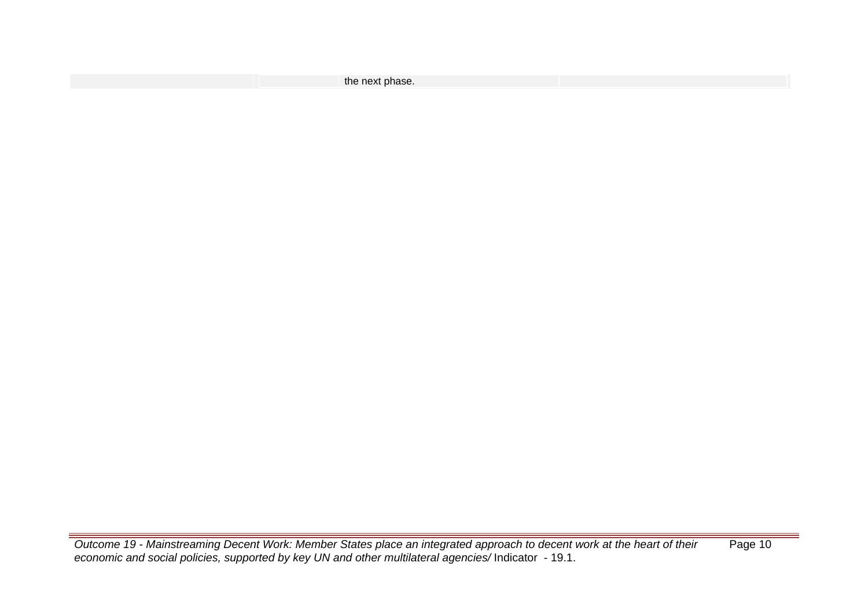| the next phase. |  |
|-----------------|--|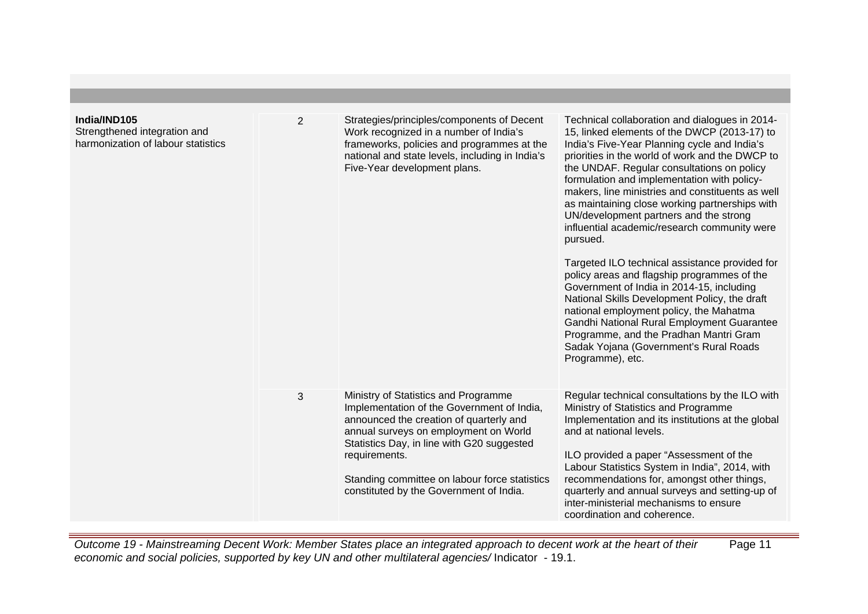| India/IND105<br>Strengthened integration and<br>harmonization of labour statistics | $\overline{2}$ | Strategies/principles/components of Decent<br>Work recognized in a number of India's<br>frameworks, policies and programmes at the<br>national and state levels, including in India's<br>Five-Year development plans.                                                                                                             | Technical collaboration and dialogues in 2014-<br>15, linked elements of the DWCP (2013-17) to<br>India's Five-Year Planning cycle and India's<br>priorities in the world of work and the DWCP to<br>the UNDAF. Regular consultations on policy<br>formulation and implementation with policy-<br>makers, line ministries and constituents as well<br>as maintaining close working partnerships with<br>UN/development partners and the strong<br>influential academic/research community were<br>pursued.<br>Targeted ILO technical assistance provided for<br>policy areas and flagship programmes of the<br>Government of India in 2014-15, including<br>National Skills Development Policy, the draft<br>national employment policy, the Mahatma<br>Gandhi National Rural Employment Guarantee<br>Programme, and the Pradhan Mantri Gram<br>Sadak Yojana (Government's Rural Roads<br>Programme), etc. |
|------------------------------------------------------------------------------------|----------------|-----------------------------------------------------------------------------------------------------------------------------------------------------------------------------------------------------------------------------------------------------------------------------------------------------------------------------------|------------------------------------------------------------------------------------------------------------------------------------------------------------------------------------------------------------------------------------------------------------------------------------------------------------------------------------------------------------------------------------------------------------------------------------------------------------------------------------------------------------------------------------------------------------------------------------------------------------------------------------------------------------------------------------------------------------------------------------------------------------------------------------------------------------------------------------------------------------------------------------------------------------|
|                                                                                    | 3              | Ministry of Statistics and Programme<br>Implementation of the Government of India,<br>announced the creation of quarterly and<br>annual surveys on employment on World<br>Statistics Day, in line with G20 suggested<br>requirements.<br>Standing committee on labour force statistics<br>constituted by the Government of India. | Regular technical consultations by the ILO with<br>Ministry of Statistics and Programme<br>Implementation and its institutions at the global<br>and at national levels.<br>ILO provided a paper "Assessment of the<br>Labour Statistics System in India", 2014, with<br>recommendations for, amongst other things,<br>quarterly and annual surveys and setting-up of<br>inter-ministerial mechanisms to ensure<br>coordination and coherence.                                                                                                                                                                                                                                                                                                                                                                                                                                                              |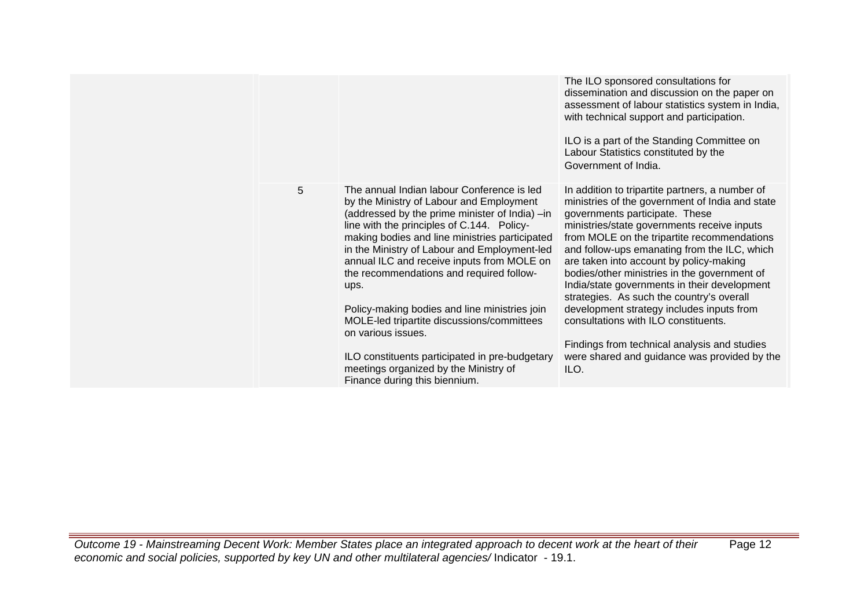|   |                                                                                                                                                                                                                                                                                                                                                                                                                                                                                                                                                                                                                                             | The ILO sponsored consultations for<br>dissemination and discussion on the paper on<br>assessment of labour statistics system in India,<br>with technical support and participation.<br>ILO is a part of the Standing Committee on<br>Labour Statistics constituted by the<br>Government of India.                                                                                                                                                                                                                                                                                                                                                                      |
|---|---------------------------------------------------------------------------------------------------------------------------------------------------------------------------------------------------------------------------------------------------------------------------------------------------------------------------------------------------------------------------------------------------------------------------------------------------------------------------------------------------------------------------------------------------------------------------------------------------------------------------------------------|-------------------------------------------------------------------------------------------------------------------------------------------------------------------------------------------------------------------------------------------------------------------------------------------------------------------------------------------------------------------------------------------------------------------------------------------------------------------------------------------------------------------------------------------------------------------------------------------------------------------------------------------------------------------------|
| 5 | The annual Indian labour Conference is led<br>by the Ministry of Labour and Employment<br>(addressed by the prime minister of India) -in<br>line with the principles of C.144. Policy-<br>making bodies and line ministries participated<br>in the Ministry of Labour and Employment-led<br>annual ILC and receive inputs from MOLE on<br>the recommendations and required follow-<br>ups.<br>Policy-making bodies and line ministries join<br>MOLE-led tripartite discussions/committees<br>on various issues.<br>ILO constituents participated in pre-budgetary<br>meetings organized by the Ministry of<br>Finance during this biennium. | In addition to tripartite partners, a number of<br>ministries of the government of India and state<br>governments participate. These<br>ministries/state governments receive inputs<br>from MOLE on the tripartite recommendations<br>and follow-ups emanating from the ILC, which<br>are taken into account by policy-making<br>bodies/other ministries in the government of<br>India/state governments in their development<br>strategies. As such the country's overall<br>development strategy includes inputs from<br>consultations with ILO constituents.<br>Findings from technical analysis and studies<br>were shared and guidance was provided by the<br>ILO. |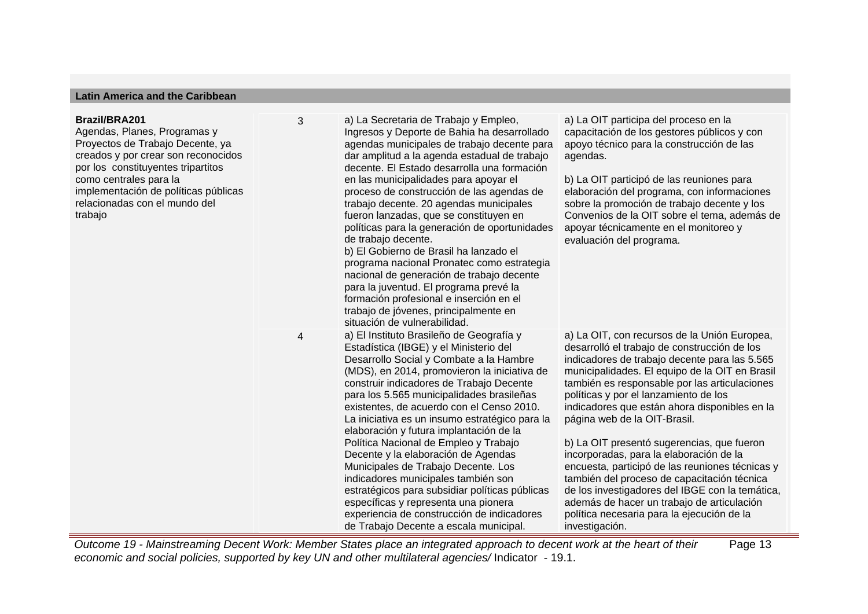# **Latin America and the Caribbean**

| <b>Brazil/BRA201</b><br>Agendas, Planes, Programas y<br>Proyectos de Trabajo Decente, ya<br>creados y por crear son reconocidos<br>por los constituyentes tripartitos<br>como centrales para la<br>implementación de políticas públicas<br>relacionadas con el mundo del<br>trabajo | 3 | a) La Secretaria de Trabajo y Empleo,<br>Ingresos y Deporte de Bahia ha desarrollado<br>agendas municipales de trabajo decente para<br>dar amplitud a la agenda estadual de trabajo<br>decente. El Estado desarrolla una formación<br>en las municipalidades para apoyar el<br>proceso de construcción de las agendas de<br>trabajo decente. 20 agendas municipales<br>fueron lanzadas, que se constituyen en<br>políticas para la generación de oportunidades<br>de trabajo decente.<br>b) El Gobierno de Brasil ha lanzado el<br>programa nacional Pronatec como estrategia<br>nacional de generación de trabajo decente<br>para la juventud. El programa prevé la<br>formación profesional e inserción en el<br>trabajo de jóvenes, principalmente en<br>situación de vulnerabilidad. | a) La OIT participa del proceso en la<br>capacitación de los gestores públicos y con<br>apoyo técnico para la construcción de las<br>agendas.<br>b) La OIT participó de las reuniones para<br>elaboración del programa, con informaciones<br>sobre la promoción de trabajo decente y los<br>Convenios de la OIT sobre el tema, además de<br>apoyar técnicamente en el monitoreo y<br>evaluación del programa.                                                                                                                                                                                                                                                                                                                          |
|-------------------------------------------------------------------------------------------------------------------------------------------------------------------------------------------------------------------------------------------------------------------------------------|---|------------------------------------------------------------------------------------------------------------------------------------------------------------------------------------------------------------------------------------------------------------------------------------------------------------------------------------------------------------------------------------------------------------------------------------------------------------------------------------------------------------------------------------------------------------------------------------------------------------------------------------------------------------------------------------------------------------------------------------------------------------------------------------------|----------------------------------------------------------------------------------------------------------------------------------------------------------------------------------------------------------------------------------------------------------------------------------------------------------------------------------------------------------------------------------------------------------------------------------------------------------------------------------------------------------------------------------------------------------------------------------------------------------------------------------------------------------------------------------------------------------------------------------------|
|                                                                                                                                                                                                                                                                                     | 4 | a) El Instituto Brasileño de Geografía y<br>Estadística (IBGE) y el Ministerio del<br>Desarrollo Social y Combate a la Hambre<br>(MDS), en 2014, promovieron la iniciativa de<br>construir indicadores de Trabajo Decente<br>para los 5.565 municipalidades brasileñas<br>existentes, de acuerdo con el Censo 2010.<br>La iniciativa es un insumo estratégico para la<br>elaboración y futura implantación de la<br>Política Nacional de Empleo y Trabajo<br>Decente y la elaboración de Agendas<br>Municipales de Trabajo Decente. Los<br>indicadores municipales también son<br>estratégicos para subsidiar políticas públicas<br>específicas y representa una pionera<br>experiencia de construcción de indicadores<br>de Trabajo Decente a escala municipal.                         | a) La OIT, con recursos de la Unión Europea,<br>desarrolló el trabajo de construcción de los<br>indicadores de trabajo decente para las 5.565<br>municipalidades. El equipo de la OIT en Brasil<br>también es responsable por las articulaciones<br>políticas y por el lanzamiento de los<br>indicadores que están ahora disponibles en la<br>página web de la OIT-Brasil.<br>b) La OIT presentó sugerencias, que fueron<br>incorporadas, para la elaboración de la<br>encuesta, participó de las reuniones técnicas y<br>también del proceso de capacitación técnica<br>de los investigadores del IBGE con la temática,<br>además de hacer un trabajo de articulación<br>política necesaria para la ejecución de la<br>investigación. |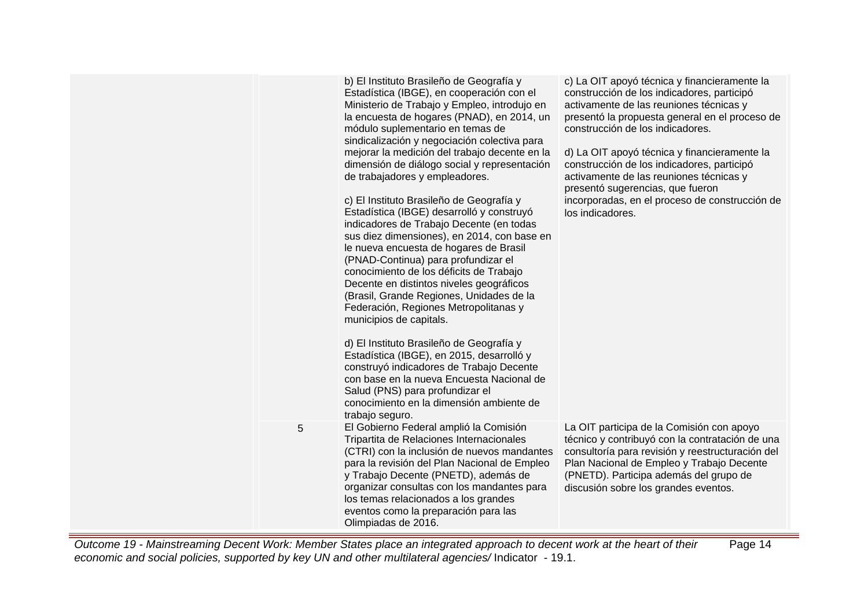|   | b) El Instituto Brasileño de Geografía y<br>Estadística (IBGE), en cooperación con el<br>Ministerio de Trabajo y Empleo, introdujo en<br>la encuesta de hogares (PNAD), en 2014, un<br>módulo suplementario en temas de<br>sindicalización y negociación colectiva para<br>mejorar la medición del trabajo decente en la<br>dimensión de diálogo social y representación<br>de trabajadores y empleadores.<br>c) El Instituto Brasileño de Geografía y<br>Estadística (IBGE) desarrolló y construyó<br>indicadores de Trabajo Decente (en todas<br>sus diez dimensiones), en 2014, con base en<br>le nueva encuesta de hogares de Brasil<br>(PNAD-Continua) para profundizar el<br>conocimiento de los déficits de Trabajo<br>Decente en distintos niveles geográficos<br>(Brasil, Grande Regiones, Unidades de la<br>Federación, Regiones Metropolitanas y<br>municipios de capitals.<br>d) El Instituto Brasileño de Geografía y<br>Estadística (IBGE), en 2015, desarrolló y<br>construyó indicadores de Trabajo Decente<br>con base en la nueva Encuesta Nacional de<br>Salud (PNS) para profundizar el<br>conocimiento en la dimensión ambiente de<br>trabajo seguro. | c) La OIT apoyó técnica y financieramente la<br>construcción de los indicadores, participó<br>activamente de las reuniones técnicas y<br>presentó la propuesta general en el proceso de<br>construcción de los indicadores.<br>d) La OIT apoyó técnica y financieramente la<br>construcción de los indicadores, participó<br>activamente de las reuniones técnicas y<br>presentó sugerencias, que fueron<br>incorporadas, en el proceso de construcción de<br>los indicadores. |
|---|----------------------------------------------------------------------------------------------------------------------------------------------------------------------------------------------------------------------------------------------------------------------------------------------------------------------------------------------------------------------------------------------------------------------------------------------------------------------------------------------------------------------------------------------------------------------------------------------------------------------------------------------------------------------------------------------------------------------------------------------------------------------------------------------------------------------------------------------------------------------------------------------------------------------------------------------------------------------------------------------------------------------------------------------------------------------------------------------------------------------------------------------------------------------------|--------------------------------------------------------------------------------------------------------------------------------------------------------------------------------------------------------------------------------------------------------------------------------------------------------------------------------------------------------------------------------------------------------------------------------------------------------------------------------|
| 5 | El Gobierno Federal amplió la Comisión<br>Tripartita de Relaciones Internacionales<br>(CTRI) con la inclusión de nuevos mandantes<br>para la revisión del Plan Nacional de Empleo<br>y Trabajo Decente (PNETD), además de<br>organizar consultas con los mandantes para<br>los temas relacionados a los grandes<br>eventos como la preparación para las<br>Olimpiadas de 2016.                                                                                                                                                                                                                                                                                                                                                                                                                                                                                                                                                                                                                                                                                                                                                                                             | La OIT participa de la Comisión con apoyo<br>técnico y contribuyó con la contratación de una<br>consultoría para revisión y reestructuración del<br>Plan Nacional de Empleo y Trabajo Decente<br>(PNETD). Participa además del grupo de<br>discusión sobre los grandes eventos.                                                                                                                                                                                                |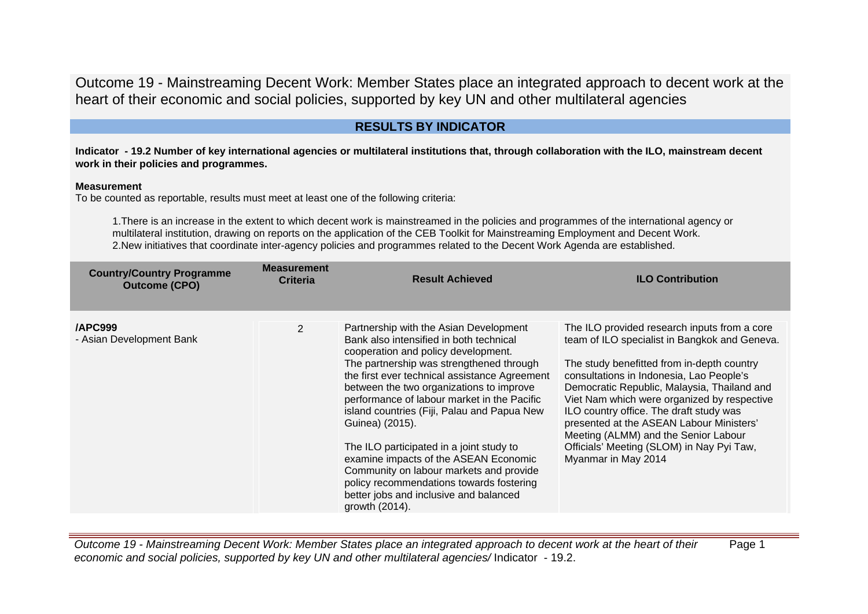# **RESULTS BY INDICATOR**

**Indicator - 19.2 Number of key international agencies or multilateral institutions that, through collaboration with the ILO, mainstream decent work in their policies and programmes.**

#### **Measurement**

To be counted as reportable, results must meet at least one of the following criteria:

1.There is an increase in the extent to which decent work is mainstreamed in the policies and programmes of the international agency or multilateral institution, drawing on reports on the application of the CEB Toolkit for Mainstreaming Employment and Decent Work. 2.New initiatives that coordinate inter-agency policies and programmes related to the Decent Work Agenda are established.

| <b>Country/Country Programme</b><br><b>Outcome (CPO)</b> | <b>Measurement</b><br><b>Criteria</b> | <b>Result Achieved</b>                                                                                                                                                                                                                                                                                                                                                                                                                                                                                                                                                                                                     | <b>ILO Contribution</b>                                                                                                                                                                                                                                                                                                                                                                                                                                                                  |
|----------------------------------------------------------|---------------------------------------|----------------------------------------------------------------------------------------------------------------------------------------------------------------------------------------------------------------------------------------------------------------------------------------------------------------------------------------------------------------------------------------------------------------------------------------------------------------------------------------------------------------------------------------------------------------------------------------------------------------------------|------------------------------------------------------------------------------------------------------------------------------------------------------------------------------------------------------------------------------------------------------------------------------------------------------------------------------------------------------------------------------------------------------------------------------------------------------------------------------------------|
| APC999<br>- Asian Development Bank                       | 2                                     | Partnership with the Asian Development<br>Bank also intensified in both technical<br>cooperation and policy development.<br>The partnership was strengthened through<br>the first ever technical assistance Agreement<br>between the two organizations to improve<br>performance of labour market in the Pacific<br>island countries (Fiji, Palau and Papua New<br>Guinea) (2015).<br>The ILO participated in a joint study to<br>examine impacts of the ASEAN Economic<br>Community on labour markets and provide<br>policy recommendations towards fostering<br>better jobs and inclusive and balanced<br>growth (2014). | The ILO provided research inputs from a core<br>team of ILO specialist in Bangkok and Geneva.<br>The study benefitted from in-depth country<br>consultations in Indonesia, Lao People's<br>Democratic Republic, Malaysia, Thailand and<br>Viet Nam which were organized by respective<br>ILO country office. The draft study was<br>presented at the ASEAN Labour Ministers'<br>Meeting (ALMM) and the Senior Labour<br>Officials' Meeting (SLOM) in Nay Pyi Taw,<br>Myanmar in May 2014 |